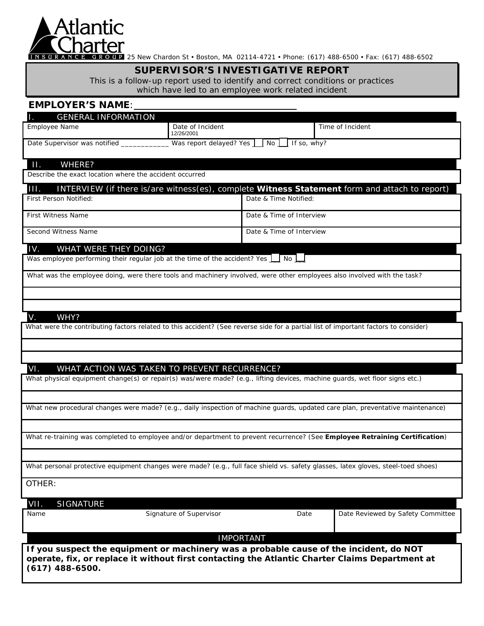

NSURANCE 25 New Chardon St • Boston, MA 02114-4721 • Phone: (617) 488-6500 • Fax: (617) 488-6502

# **SUPERVISOR'S INVESTIGATIVE REPORT**

This is a follow-up report used to identify and correct conditions or practices which have led to an employee work related incident

# **EMPLOYER'S NAME**:

| <b>GENERAL INFORMATION</b>                                                                                                                                                                                    |                                          |                          |  |                                   |
|---------------------------------------------------------------------------------------------------------------------------------------------------------------------------------------------------------------|------------------------------------------|--------------------------|--|-----------------------------------|
| Employee Name                                                                                                                                                                                                 | Date of Incident<br>12/26/2001           |                          |  | Time of Incident                  |
| Date Supervisor was notified _____________                                                                                                                                                                    | Was report delayed? Yes No I If so, why? |                          |  |                                   |
| Ш.<br>WHERE?<br>Describe the exact location where the accident occurred                                                                                                                                       |                                          |                          |  |                                   |
| 111.<br>INTERVIEW (if there is/are witness(es), complete <b>Witness Statement</b> form and attach to report)                                                                                                  |                                          |                          |  |                                   |
| First Person Notified:                                                                                                                                                                                        |                                          | Date & Time Notified:    |  |                                   |
| <b>First Witness Name</b>                                                                                                                                                                                     |                                          | Date & Time of Interview |  |                                   |
| Second Witness Name                                                                                                                                                                                           |                                          | Date & Time of Interview |  |                                   |
| IV.<br>WHAT WERE THEY DOING?                                                                                                                                                                                  |                                          |                          |  |                                   |
| Was employee performing their regular job at the time of the accident? Yes In No                                                                                                                              |                                          |                          |  |                                   |
| What was the employee doing, were there tools and machinery involved, were other employees also involved with the task?                                                                                       |                                          |                          |  |                                   |
|                                                                                                                                                                                                               |                                          |                          |  |                                   |
|                                                                                                                                                                                                               |                                          |                          |  |                                   |
| WHY?<br>V.                                                                                                                                                                                                    |                                          |                          |  |                                   |
| What were the contributing factors related to this accident? (See reverse side for a partial list of important factors to consider)                                                                           |                                          |                          |  |                                   |
|                                                                                                                                                                                                               |                                          |                          |  |                                   |
|                                                                                                                                                                                                               |                                          |                          |  |                                   |
| VI.<br>WHAT ACTION WAS TAKEN TO PREVENT RECURRENCE?                                                                                                                                                           |                                          |                          |  |                                   |
| What physical equipment change(s) or repair(s) was/were made? (e.g., lifting devices, machine guards, wet floor signs etc.)                                                                                   |                                          |                          |  |                                   |
|                                                                                                                                                                                                               |                                          |                          |  |                                   |
| What new procedural changes were made? (e.g., daily inspection of machine guards, updated care plan, preventative maintenance)                                                                                |                                          |                          |  |                                   |
|                                                                                                                                                                                                               |                                          |                          |  |                                   |
| What re-training was completed to employee and/or department to prevent recurrence? (See Employee Retraining Certification)                                                                                   |                                          |                          |  |                                   |
|                                                                                                                                                                                                               |                                          |                          |  |                                   |
| What personal protective equipment changes were made? (e.g., full face shield vs. safety glasses, latex gloves, steel-toed shoes)                                                                             |                                          |                          |  |                                   |
| OTHER:                                                                                                                                                                                                        |                                          |                          |  |                                   |
| VII.<br><b>SIGNATURE</b>                                                                                                                                                                                      |                                          |                          |  |                                   |
| Name                                                                                                                                                                                                          | Signature of Supervisor                  | Date                     |  | Date Reviewed by Safety Committee |
| <b>IMPORTANT</b>                                                                                                                                                                                              |                                          |                          |  |                                   |
| If you suspect the equipment or machinery was a probable cause of the incident, do NOT<br>operate, fix, or replace it without first contacting the Atlantic Charter Claims Department at<br>$(617)$ 488-6500. |                                          |                          |  |                                   |